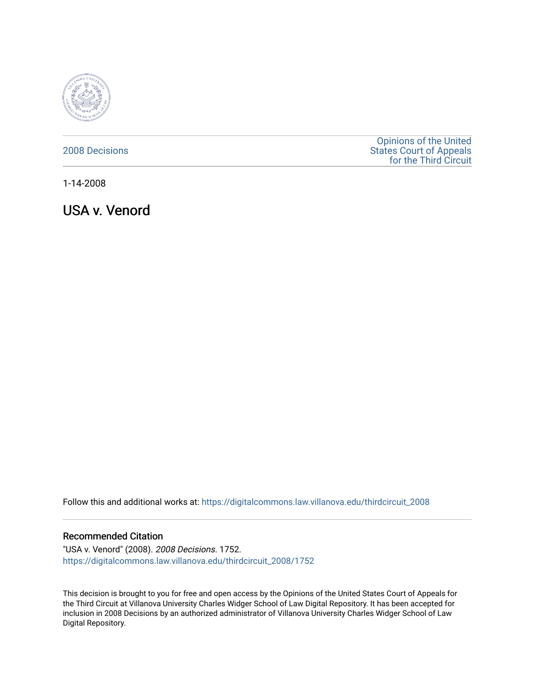

### [2008 Decisions](https://digitalcommons.law.villanova.edu/thirdcircuit_2008)

[Opinions of the United](https://digitalcommons.law.villanova.edu/thirdcircuit)  [States Court of Appeals](https://digitalcommons.law.villanova.edu/thirdcircuit)  [for the Third Circuit](https://digitalcommons.law.villanova.edu/thirdcircuit) 

1-14-2008

USA v. Venord

Follow this and additional works at: [https://digitalcommons.law.villanova.edu/thirdcircuit\\_2008](https://digitalcommons.law.villanova.edu/thirdcircuit_2008?utm_source=digitalcommons.law.villanova.edu%2Fthirdcircuit_2008%2F1752&utm_medium=PDF&utm_campaign=PDFCoverPages) 

#### Recommended Citation

"USA v. Venord" (2008). 2008 Decisions. 1752. [https://digitalcommons.law.villanova.edu/thirdcircuit\\_2008/1752](https://digitalcommons.law.villanova.edu/thirdcircuit_2008/1752?utm_source=digitalcommons.law.villanova.edu%2Fthirdcircuit_2008%2F1752&utm_medium=PDF&utm_campaign=PDFCoverPages) 

This decision is brought to you for free and open access by the Opinions of the United States Court of Appeals for the Third Circuit at Villanova University Charles Widger School of Law Digital Repository. It has been accepted for inclusion in 2008 Decisions by an authorized administrator of Villanova University Charles Widger School of Law Digital Repository.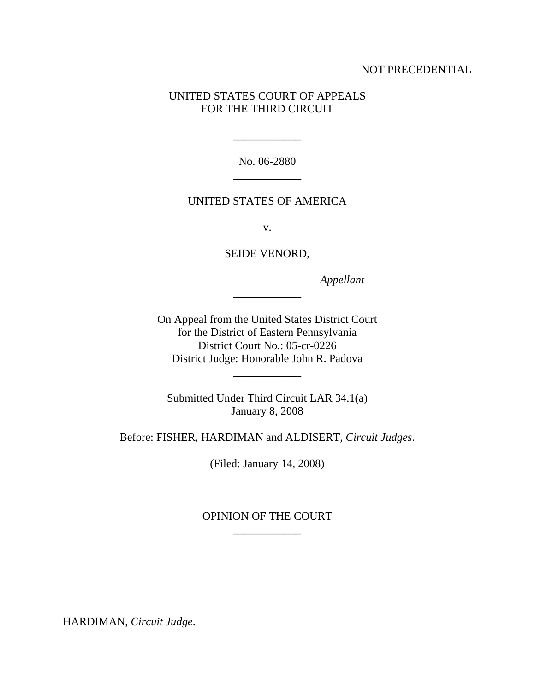## NOT PRECEDENTIAL

## UNITED STATES COURT OF APPEALS FOR THE THIRD CIRCUIT

No. 06-2880 \_\_\_\_\_\_\_\_\_\_\_\_

\_\_\_\_\_\_\_\_\_\_\_\_

### UNITED STATES OF AMERICA

v.

SEIDE VENORD,

\_\_\_\_\_\_\_\_\_\_\_\_

 *Appellant*

On Appeal from the United States District Court for the District of Eastern Pennsylvania District Court No.: 05-cr-0226 District Judge: Honorable John R. Padova

\_\_\_\_\_\_\_\_\_\_\_\_

Submitted Under Third Circuit LAR 34.1(a) January 8, 2008

Before: FISHER, HARDIMAN and ALDISERT, *Circuit Judges*.

(Filed: January 14, 2008)

# OPINION OF THE COURT \_\_\_\_\_\_\_\_\_\_\_\_

l

HARDIMAN, *Circuit Judge*.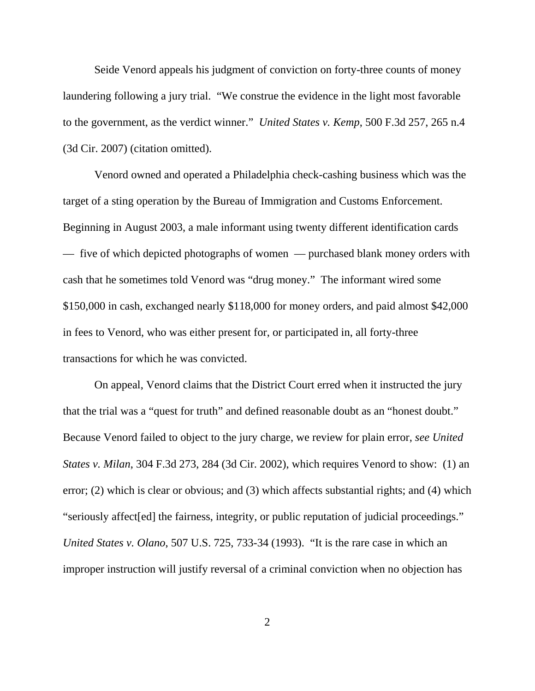Seide Venord appeals his judgment of conviction on forty-three counts of money laundering following a jury trial. "We construe the evidence in the light most favorable to the government, as the verdict winner." *United States v. Kemp*, 500 F.3d 257, 265 n.4 (3d Cir. 2007) (citation omitted).

Venord owned and operated a Philadelphia check-cashing business which was the target of a sting operation by the Bureau of Immigration and Customs Enforcement. Beginning in August 2003, a male informant using twenty different identification cards — five of which depicted photographs of women — purchased blank money orders with cash that he sometimes told Venord was "drug money." The informant wired some \$150,000 in cash, exchanged nearly \$118,000 for money orders, and paid almost \$42,000 in fees to Venord, who was either present for, or participated in, all forty-three transactions for which he was convicted.

On appeal, Venord claims that the District Court erred when it instructed the jury that the trial was a "quest for truth" and defined reasonable doubt as an "honest doubt." Because Venord failed to object to the jury charge, we review for plain error, *see United States v. Milan*, 304 F.3d 273, 284 (3d Cir. 2002), which requires Venord to show: (1) an error; (2) which is clear or obvious; and (3) which affects substantial rights; and (4) which "seriously affect[ed] the fairness, integrity, or public reputation of judicial proceedings." *United States v. Olano*, 507 U.S. 725, 733-34 (1993). "It is the rare case in which an improper instruction will justify reversal of a criminal conviction when no objection has

2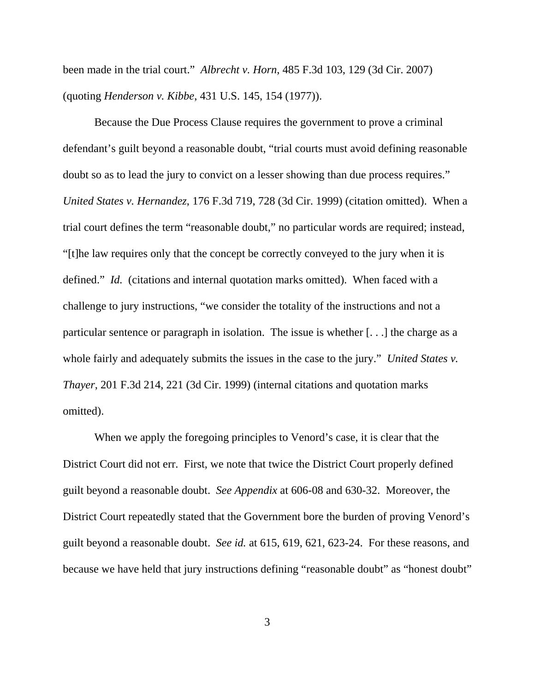been made in the trial court." *Albrecht v. Horn*, 485 F.3d 103, 129 (3d Cir. 2007) (quoting *Henderson v. Kibbe*, 431 U.S. 145, 154 (1977)).

Because the Due Process Clause requires the government to prove a criminal defendant's guilt beyond a reasonable doubt, "trial courts must avoid defining reasonable doubt so as to lead the jury to convict on a lesser showing than due process requires." *United States v. Hernandez*, 176 F.3d 719, 728 (3d Cir. 1999) (citation omitted). When a trial court defines the term "reasonable doubt," no particular words are required; instead, "[t]he law requires only that the concept be correctly conveyed to the jury when it is defined." *Id.* (citations and internal quotation marks omitted). When faced with a challenge to jury instructions, "we consider the totality of the instructions and not a particular sentence or paragraph in isolation. The issue is whether [. . .] the charge as a whole fairly and adequately submits the issues in the case to the jury." *United States v. Thayer*, 201 F.3d 214, 221 (3d Cir. 1999) (internal citations and quotation marks omitted).

When we apply the foregoing principles to Venord's case, it is clear that the District Court did not err. First, we note that twice the District Court properly defined guilt beyond a reasonable doubt. *See Appendix* at 606-08 and 630-32. Moreover, the District Court repeatedly stated that the Government bore the burden of proving Venord's guilt beyond a reasonable doubt. *See id.* at 615, 619, 621, 623-24. For these reasons, and because we have held that jury instructions defining "reasonable doubt" as "honest doubt"

3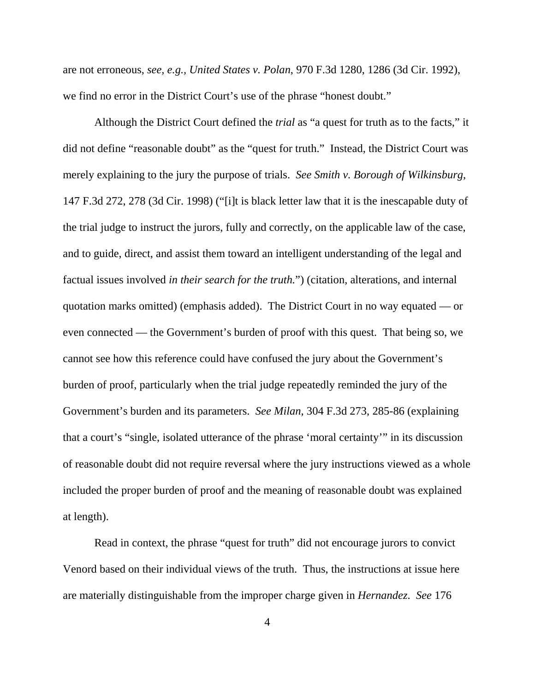are not erroneous, *see, e.g., United States v. Polan*, 970 F.3d 1280, 1286 (3d Cir. 1992), we find no error in the District Court's use of the phrase "honest doubt."

Although the District Court defined the *trial* as "a quest for truth as to the facts," it did not define "reasonable doubt" as the "quest for truth." Instead, the District Court was merely explaining to the jury the purpose of trials. *See Smith v. Borough of Wilkinsburg,* 147 F.3d 272, 278 (3d Cir. 1998) ("[i]t is black letter law that it is the inescapable duty of the trial judge to instruct the jurors, fully and correctly, on the applicable law of the case, and to guide, direct, and assist them toward an intelligent understanding of the legal and factual issues involved *in their search for the truth.*") (citation, alterations, and internal quotation marks omitted) (emphasis added). The District Court in no way equated — or even connected — the Government's burden of proof with this quest. That being so, we cannot see how this reference could have confused the jury about the Government's burden of proof, particularly when the trial judge repeatedly reminded the jury of the Government's burden and its parameters. *See Milan,* 304 F.3d 273, 285-86 (explaining that a court's "single, isolated utterance of the phrase 'moral certainty'" in its discussion of reasonable doubt did not require reversal where the jury instructions viewed as a whole included the proper burden of proof and the meaning of reasonable doubt was explained at length).

Read in context, the phrase "quest for truth" did not encourage jurors to convict Venord based on their individual views of the truth. Thus, the instructions at issue here are materially distinguishable from the improper charge given in *Hernandez*. *See* 176